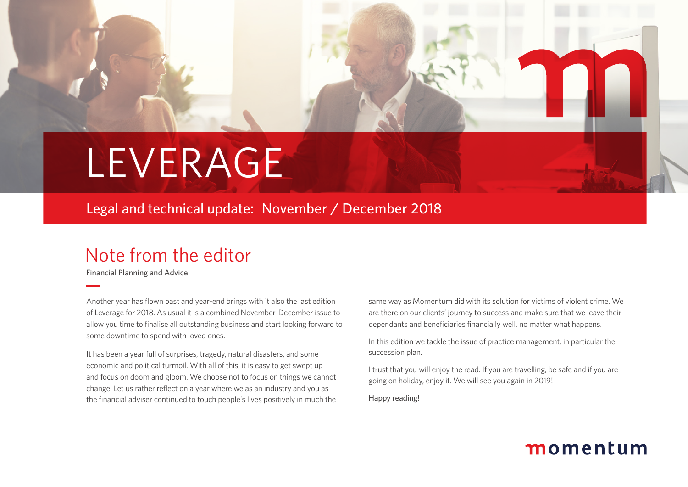# LEVERAGE

Legal and technical update: November / December 2018

## Note from the editor

Financial Planning and Advice

Another year has flown past and year-end brings with it also the last edition of Leverage for 2018. As usual it is a combined November-December issue to allow you time to finalise all outstanding business and start looking forward to some downtime to spend with loved ones.

It has been a year full of surprises, tragedy, natural disasters, and some economic and political turmoil. With all of this, it is easy to get swept up and focus on doom and gloom. We choose not to focus on things we cannot change. Let us rather reflect on a year where we as an industry and you as the financial adviser continued to touch people's lives positively in much the

same way as Momentum did with its solution for victims of violent crime. We are there on our clients' journey to success and make sure that we leave their dependants and beneficiaries financially well, no matter what happens.

In this edition we tackle the issue of practice management, in particular the succession plan.

I trust that you will enjoy the read. If you are travelling, be safe and if you are going on holiday, enjoy it. We will see you again in 2019!

Happy reading!

## momentum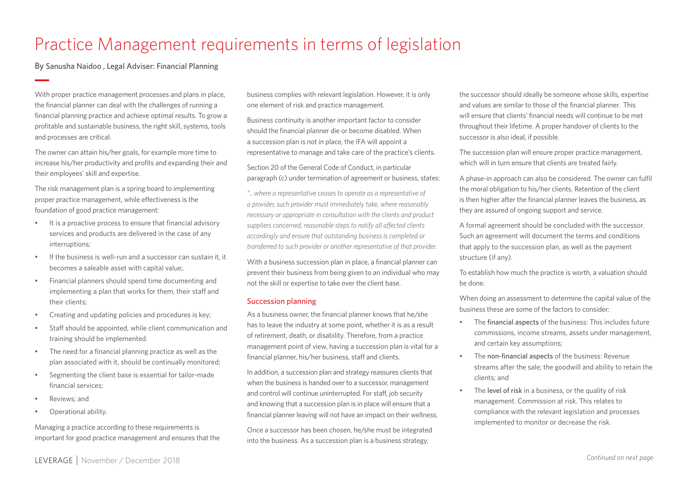## Practice Management requirements in terms of legislation

By Sanusha Naidoo , Legal Adviser: Financial Planning

With proper practice management processes and plans in place, the financial planner can deal with the challenges of running a financial planning practice and achieve optimal results. To grow a profitable and sustainable business, the right skill, systems, tools and processes are critical.

The owner can attain his/her goals, for example more time to increase his/her productivity and profits and expanding their and their employees' skill and expertise.

The risk management plan is a spring board to implementing proper practice management, while effectiveness is the foundation of good practice management:

- It is a proactive process to ensure that financial advisory services and products are delivered in the case of any interruptions;
- If the business is well-run and a successor can sustain it, it becomes a saleable asset with capital value;.
- Financial planners should spend time documenting and implementing a plan that works for them, their staff and their clients;
- Creating and updating policies and procedures is key;
- Staff should be appointed, while client communication and training should be implemented.
- The need for a financial planning practice as well as the plan associated with it, should be continually monitored;
- Segmenting the client base is essential for tailor-made financial services;
- Reviews; and
- Operational ability.

Managing a practice according to these requirements is important for good practice management and ensures that the

business complies with relevant legislation. However, it is only one element of risk and practice management.

Business continuity is another important factor to consider should the financial planner die or become disabled. When a succession plan is not in place, the IFA will appoint a representative to manage and take care of the practice's clients.

Section 20 of the General Code of Conduct, in particular paragraph (c) under termination of agreement or business, states:

*"…where a representative ceases to operate as a representative of a provider, such provider must immediately take, where reasonably necessary or appropriate in consultation with the clients and product suppliers concerned, reasonable steps to notify all affected clients accordingly and ensure that outstanding business is completed or transferred to such provider or another representative of that provider.*

With a business succession plan in place, a financial planner can prevent their business from being given to an individual who may not the skill or expertise to take over the client base.

### Succession planning

As a business owner, the financial planner knows that he/she has to leave the industry at some point, whether it is as a result of retirement, death, or disability. Therefore, from a practice management point of view, having a succession plan is vital for a financial planner, his/her business, staff and clients.

In addition, a succession plan and strategy reassures clients that when the business is handed over to a successor, management and control will continue uninterrupted. For staff, job security and knowing that a succession plan is in place will ensure that a financial planner leaving will not have an impact on their wellness.

Once a successor has been chosen, he/she must be integrated into the business. As a succession plan is a business strategy,

the successor should ideally be someone whose skills, expertise and values are similar to those of the financial planner. This will ensure that clients' financial needs will continue to be met throughout their lifetime. A proper handover of clients to the successor is also ideal, if possible.

The succession plan will ensure proper practice management, which will in turn ensure that clients are treated fairly.

A phase-in approach can also be considered. The owner can fulfil the moral obligation to his/her clients. Retention of the client is then higher after the financial planner leaves the business, as they are assured of ongoing support and service.

A formal agreement should be concluded with the successor. Such an agreement will document the terms and conditions that apply to the succession plan, as well as the payment structure (if any).

To establish how much the practice is worth, a valuation should be done.

When doing an assessment to determine the capital value of the business these are some of the factors to consider:

- The financial aspects of the business: This includes future commissions, income streams, assets under management, and certain key assumptions;
- The non-financial aspects of the business: Revenue streams after the sale; the goodwill and ability to retain the clients; and
- The level of risk in a business, or the quality of risk management. Commission at risk. This relates to compliance with the relevant legislation and processes implemented to monitor or decrease the risk.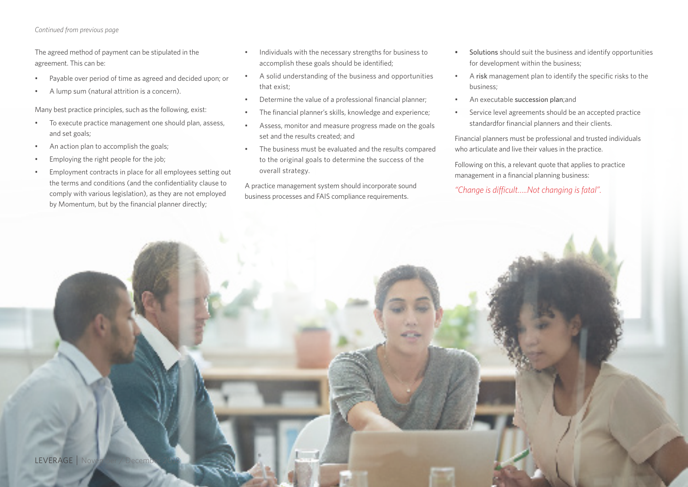#### *Continued from previous page*

The agreed method of payment can be stipulated in the agreement. This can be:

- Payable over period of time as agreed and decided upon; or
- A lump sum (natural attrition is a concern).

Many best practice principles, such as the following, exist:

- To execute practice management one should plan, assess, and set goals;
- An action plan to accomplish the goals;
- Employing the right people for the job;
- Employment contracts in place for all employees setting out the terms and conditions (and the confidentiality clause to comply with various legislation), as they are not employed by Momentum, but by the financial planner directly;
- Individuals with the necessary strengths for business to accomplish these goals should be identified;
- A solid understanding of the business and opportunities that exist;
- Determine the value of a professional financial planner;
- The financial planner's skills, knowledge and experience;
- Assess, monitor and measure progress made on the goals set and the results created; and
- The business must be evaluated and the results compared to the original goals to determine the success of the overall strategy.

A practice management system should incorporate sound business processes and FAIS compliance requirements.

- Solutions should suit the business and identify opportunities for development within the business;
- A risk management plan to identify the specific risks to the business;
- An executable succession plan;and
- Service level agreements should be an accepted practice standardfor financial planners and their clients.

Financial planners must be professional and trusted individuals who articulate and live their values in the practice.

Following on this, a relevant quote that applies to practice management in a financial planning business:

*"Change is difficult…..Not changing is fatal".*